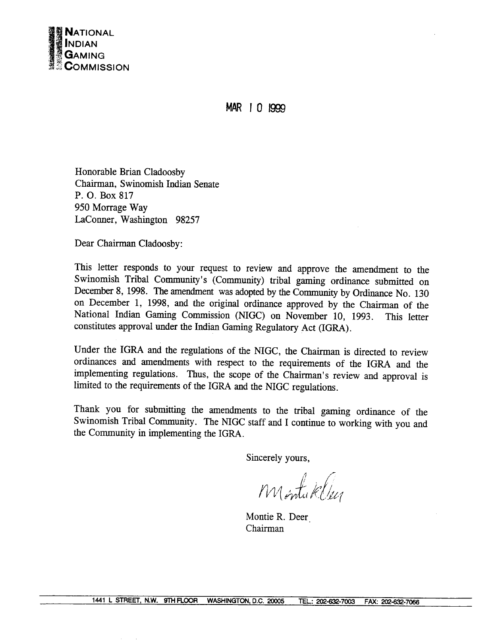

MAR | 0 1999

Honorable Brian Cladoosby Chairman, Swinomish Indian Senate P. O. Box 817 950 Morrage Way LaConner, Washington 98257

Dear Chairman Cladoosby:

This letter responds to your request to review and approve the amendment to the Swinomish Tribal Community's (Community) tribal gaming ordinance submitted on December 8, 1998. The amendment was adopted by the Community by Ordinance No. 130 on December 1, 1998, and the original ordinance approved by the Chairman of the National Indian Gaming Commission (NIGC) on November 10, 1993. This letter constitutes approval under the Indian Gaming Regulatory Act (IGRA).

Under the IGRA and the regulations of the NIGC, the Chairman is directed to review ordinances and amendments with respect to the requirements of the IGRA and the implementing regulations. Thus, the scope of the Chairman's review and approval is limited to the requirements of the IGRA and the NIGC regulations.

Thank you for submitting the amendments to the tribal gaming ordinance of the Swinomish Tribal Community. The NIGC staff and I continue to working with you and the Community in implementing the IGRA.

Sincerely yours.

Montaklur

Montie R. Deer Chairman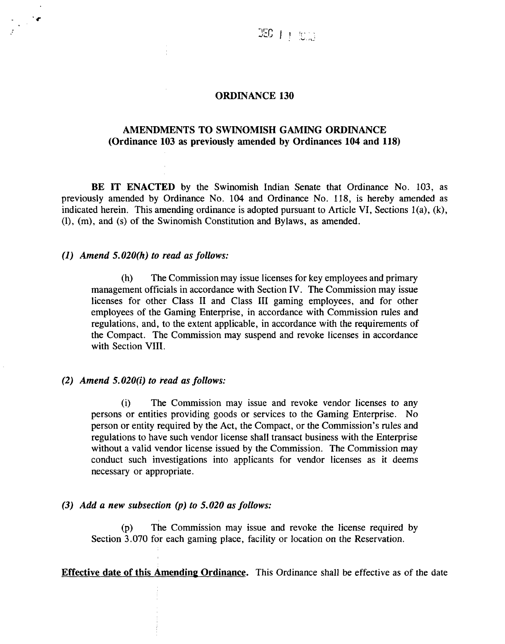#### **ORDINANCE <sup>130</sup>**

## **AMENDMENTS TO SWINOMISH GAMING ORDINANCE (Ordinance 103 as previously amended by Ordinances 104 and 118)**

**BE IT ENACTED by the Swinomish Indian Senate that Ordinance No. 103, as previously amended by Ordinance No. 104 and Ordinance No. 118, is hereby amended as indicated herein. This amending ordinance is adopted pursuant to Article VI, Sections 1(a), (k), (1), (m), and (s) of the Swinomish Constitution and Bylaws, as amended.**

### **(1) Amend 5.020(h) to read as follows:**

**4.**

**(h) The Commission may issue licenses for key employees and primary management officials in accordance with Section IV. The Commission may issue licenses for other Class II and Class III gaming employees, and for other employees of the Gaming Enterprise, in accordance with Commission rules and regulations, and, to the extent applicable, in accordance with the requirements of the Compact. The Commission may suspend and revoke licenses in accordance with Section VIII.**

#### **(2) Amend 5.020(i) to read as follows:**

**(i) The Commission may issue and revoke vendor licenses to any persons or entities providing goods or services to the Gaming Enterprise. No person** or entity required by the Act, the Compact, or the Commission's rules and **regulations to have such vendor license shall transact business with the Enterprise without <sup>a</sup> valid vendor license issued by the Commission. The Commission may conduct such investigations into applicants for vendor licenses as it deems necessary or appropriate.**

### **(3) Add a new subsection (p) to 5.020 as follows:**

**(p) The Commission may issue and revoke the license required by Section 3.070 for each gaming place, facility or location on the Reservation.**

**Effective date of this Amending Ordinance This Ordinance shall be effective as of the date**